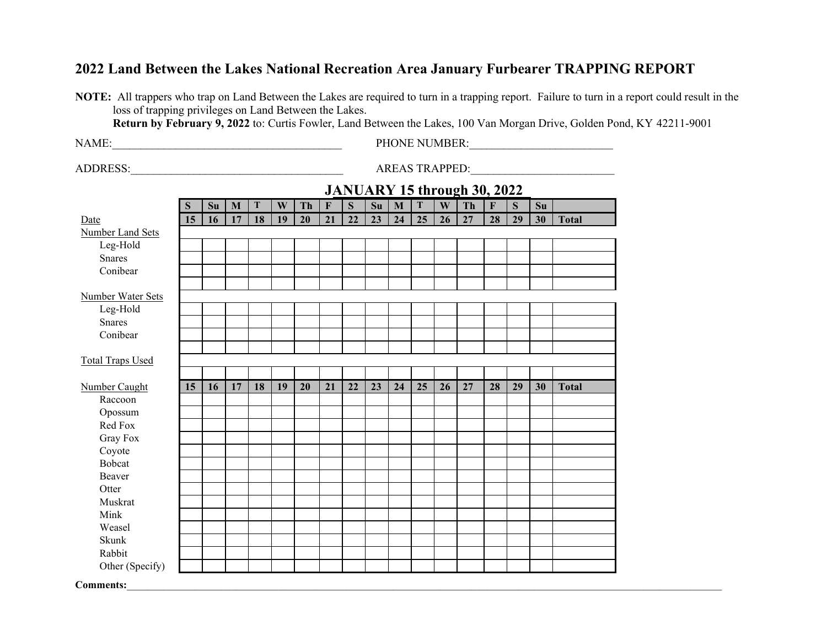## **2022 Land Between the Lakes National Recreation Area January Furbearer TRAPPING REPORT**

**NOTE:** All trappers who trap on Land Between the Lakes are required to turn in a trapping report. Failure to turn in a report could result in the loss of trapping privileges on Land Between the Lakes.

**Return by February 9, 2022** to: Curtis Fowler, Land Between the Lakes, 100 Van Morgan Drive, Golden Pond, KY 42211-9001

NAME:\_\_\_\_\_\_\_\_\_\_\_\_\_\_\_\_\_\_\_\_\_\_\_\_\_\_\_\_\_\_\_\_\_\_\_\_\_\_\_\_ PHONE NUMBER:\_\_\_\_\_\_\_\_\_\_\_\_\_\_\_\_\_\_\_\_\_\_\_\_\_

ADDRESS:\_\_\_\_\_\_\_\_\_\_\_\_\_\_\_\_\_\_\_\_\_\_\_\_\_\_\_\_\_\_\_\_\_\_\_\_\_ AREAS TRAPPED:\_\_\_\_\_\_\_\_\_\_\_\_\_\_\_\_\_\_\_\_\_\_\_\_\_

|                          |    |    |    |    |    |    |             |             |    |              |    |    | JANUARY 15 through 30, 2022 |                         |    |    |              |
|--------------------------|----|----|----|----|----|----|-------------|-------------|----|--------------|----|----|-----------------------------|-------------------------|----|----|--------------|
|                          | S  | Su | M  | T  | W  | Th | $\mathbf F$ | $\mathbf S$ | Su | $\mathbf{M}$ | T  | W  | Th                          | $\overline{\mathbf{F}}$ | S  | Su |              |
| Date                     | 15 | 16 | 17 | 18 | 19 | 20 | 21          | 22          | 23 | 24           | 25 | 26 | 27                          | 28                      | 29 | 30 | <b>Total</b> |
| Number Land Sets         |    |    |    |    |    |    |             |             |    |              |    |    |                             |                         |    |    |              |
| Leg-Hold                 |    |    |    |    |    |    |             |             |    |              |    |    |                             |                         |    |    |              |
| <b>Snares</b>            |    |    |    |    |    |    |             |             |    |              |    |    |                             |                         |    |    |              |
| Conibear                 |    |    |    |    |    |    |             |             |    |              |    |    |                             |                         |    |    |              |
|                          |    |    |    |    |    |    |             |             |    |              |    |    |                             |                         |    |    |              |
| Number Water Sets        |    |    |    |    |    |    |             |             |    |              |    |    |                             |                         |    |    |              |
| Leg-Hold                 |    |    |    |    |    |    |             |             |    |              |    |    |                             |                         |    |    |              |
| <b>Snares</b>            |    |    |    |    |    |    |             |             |    |              |    |    |                             |                         |    |    |              |
| Conibear                 |    |    |    |    |    |    |             |             |    |              |    |    |                             |                         |    |    |              |
|                          |    |    |    |    |    |    |             |             |    |              |    |    |                             |                         |    |    |              |
| <b>Total Traps Used</b>  |    |    |    |    |    |    |             |             |    |              |    |    |                             |                         |    |    |              |
|                          | 15 |    | 17 | 18 | 19 | 20 | 21          | 22          | 23 | 24           | 25 | 26 | 27                          | 28                      | 29 | 30 | <b>Total</b> |
| Number Caught<br>Raccoon |    | 16 |    |    |    |    |             |             |    |              |    |    |                             |                         |    |    |              |
| Opossum                  |    |    |    |    |    |    |             |             |    |              |    |    |                             |                         |    |    |              |
| Red Fox                  |    |    |    |    |    |    |             |             |    |              |    |    |                             |                         |    |    |              |
| Gray Fox                 |    |    |    |    |    |    |             |             |    |              |    |    |                             |                         |    |    |              |
| Coyote                   |    |    |    |    |    |    |             |             |    |              |    |    |                             |                         |    |    |              |
| <b>Bobcat</b>            |    |    |    |    |    |    |             |             |    |              |    |    |                             |                         |    |    |              |
| Beaver                   |    |    |    |    |    |    |             |             |    |              |    |    |                             |                         |    |    |              |
| Otter                    |    |    |    |    |    |    |             |             |    |              |    |    |                             |                         |    |    |              |
| Muskrat                  |    |    |    |    |    |    |             |             |    |              |    |    |                             |                         |    |    |              |
| Mink                     |    |    |    |    |    |    |             |             |    |              |    |    |                             |                         |    |    |              |
| Weasel                   |    |    |    |    |    |    |             |             |    |              |    |    |                             |                         |    |    |              |
| Skunk                    |    |    |    |    |    |    |             |             |    |              |    |    |                             |                         |    |    |              |
| Rabbit                   |    |    |    |    |    |    |             |             |    |              |    |    |                             |                         |    |    |              |
| Other (Specify)          |    |    |    |    |    |    |             |             |    |              |    |    |                             |                         |    |    |              |
| <b>Comments:</b>         |    |    |    |    |    |    |             |             |    |              |    |    |                             |                         |    |    |              |